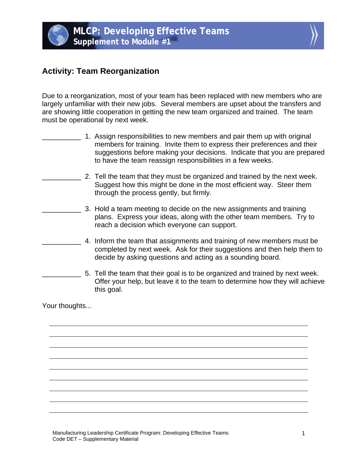

## **Activity: Team Reorganization**

Due to a reorganization, most of your team has been replaced with new members who are largely unfamiliar with their new jobs. Several members are upset about the transfers and are showing little cooperation in getting the new team organized and trained. The team must be operational by next week.

- \_\_\_\_\_\_\_\_\_\_ 1. Assign responsibilities to new members and pair them up with original members for training. Invite them to express their preferences and their suggestions before making your decisions. Indicate that you are prepared to have the team reassign responsibilities in a few weeks.
- \_\_\_\_\_\_\_\_\_\_ 2. Tell the team that they must be organized and trained by the next week. Suggest how this might be done in the most efficient way. Steer them through the process gently, but firmly.
	- \_\_\_\_\_\_\_\_\_\_ 3. Hold a team meeting to decide on the new assignments and training plans. Express your ideas, along with the other team members. Try to reach a decision which everyone can support.
- \_\_\_\_\_\_\_\_\_\_ 4. Inform the team that assignments and training of new members must be completed by next week. Ask for their suggestions and then help them to decide by asking questions and acting as a sounding board.
- 5. Tell the team that their goal is to be organized and trained by next week. Offer your help, but leave it to the team to determine how they will achieve this goal.

Your thoughts...